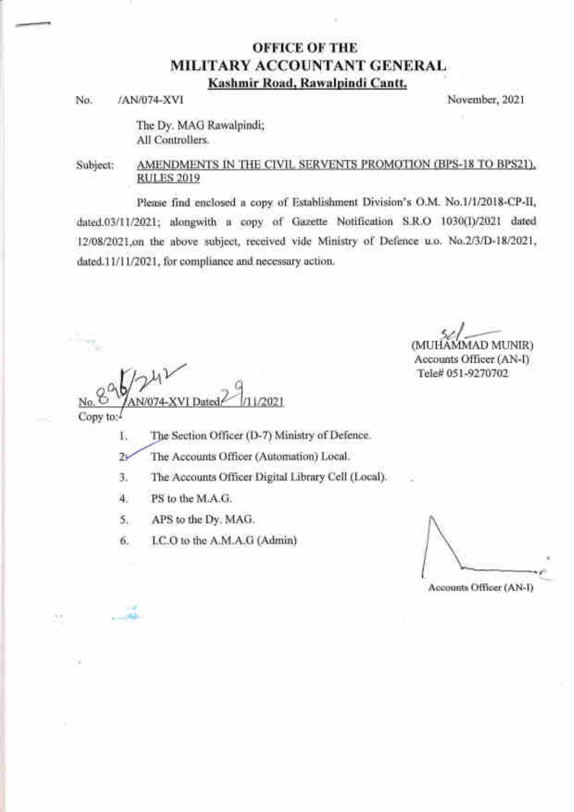# OFFICE OF THE MILITARY ACCOUNTANT GENERAL Kashmir Road, Rawalpindi Cantt.

No. /AN/074-XVI November, 2021

The Dy. MAG Rawalpindi; All Controllers.

## Subject: AMENDMENTS IN THE CIVIL SERVENTS PROMOTION (BPS-18 TO BPS21). RULES 2019

Please find enclosed a copy of Establishment Division's O.M. No.1/1/2018-CP-II, dated.03/11/2021; alongwith a copy of Gazette Notification S.R.O 1030(I)/2021 dated 12/08/2021 on the above subject, received vide Ministry of Defence u.o. No.2/3/D-18/2021, dated.11/11/2021, for compliance and necessary action.

 $\,$  $/2021$ 

(MUHAMMAD MUNIR) Accounts Officer (AN-I) Tele# 051-9270702

Copy to:

 $\cdot$   $\cdot$ 

- The Section Officer (D-7) Ministry of Defence. 1
- The Accounts Officer (Automation) Local.  $2\mathbf{v}$
- The Accounts Officer Digital Library Cell (Local)  $3.$
- PS to the M.A.G. 4.
- APS to the Dy. MAG. 5.
- I.C.O to the A.M.A.G (Admin) 6.

y'' 4

Accounts Officer (AN-I)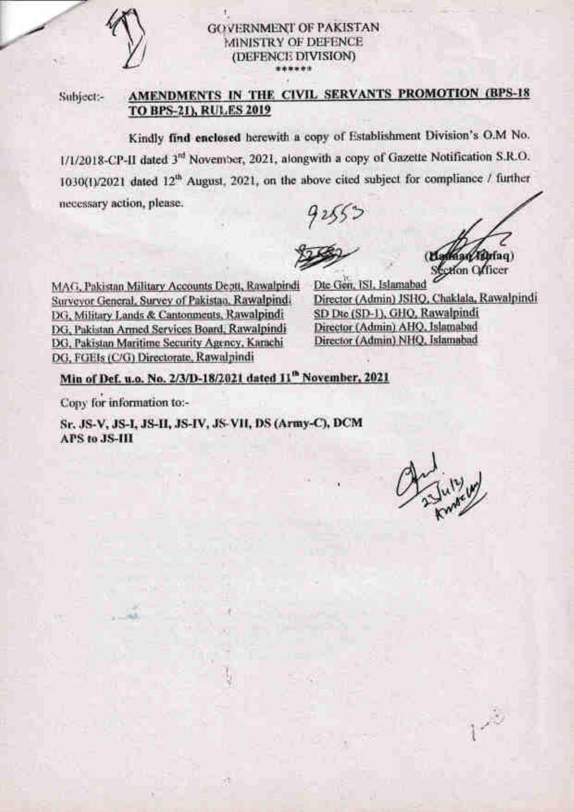## **GOVERNMENT OF PAKISTAN** MINISTRY OF DEFENCE (DEFENCE DIVISION)

Subject:-

# AMENDMENTS IN THE CIVIL SERVANTS PROMOTION (BPS-18 **TO BPS-21), RULES 2019**

Kindly find enclosed herewith a copy of Establishment Division's O.M No. 1/1/2018-CP-II dated 3<sup>rd</sup> November, 2021, alongwith a copy of Gazette Notification S.R.O. 1030(1)/2021 dated 12<sup>th</sup> August, 2021, on the above cited subject for compliance / further necessary action, please.

Latinan (fibrian) Section Officer

MAG, Pakistan Military Accounts Deptt, Rawalpindi Surveyor General, Survey of Pakistan, Rawalpindi DG, Military Lands & Cantonments, Rawalpindi DG, Pakistan Armed Services Board, Rawalpindi DG, Pakistan Maritime Security Agency, Karachi DG, FGEIs (C/G) Directorate, Rawalpindi

Dte Gen. ISI, Islamabad Director (Admin) JSHQ, Chaklala, Rawalpindi SD Dto (SD-1), GHQ, Rawalpindi Director (Admin) AHQ, Islamabad Director (Admin) NHQ, Islamabad

Min of Def. u.o. No. 2/3/D-18/2021 dated 11<sup>th</sup> November, 2021

Cony for information to:-

Sr. JS-V, JS-I, JS-II, JS-IV, JS-VII, DS (Army-C), DCM **APS to JS-III** 

.<br>1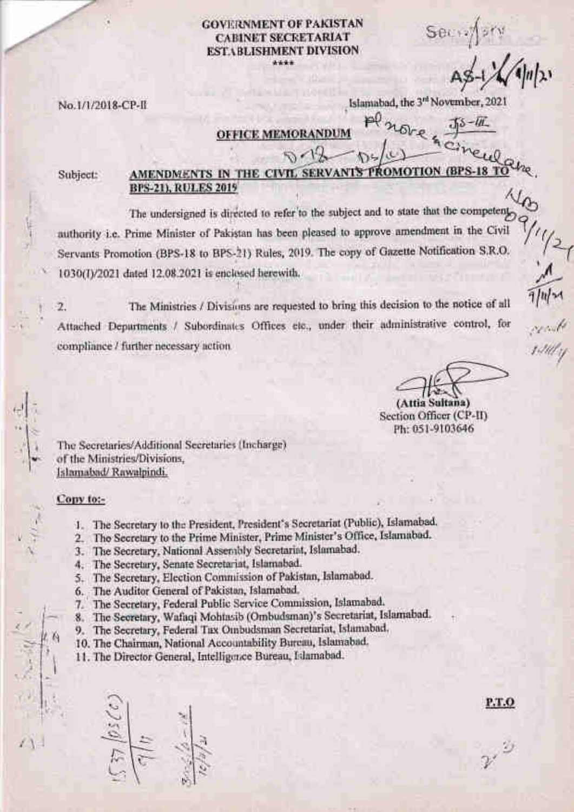#### **GOVERNMENT OF PAKISTAN CABINET SECRETARIAT ESTABLISHMENT DIVISION**  $2444$

Sec<sub>13</sub>

 $75 - 11$ 

Islamabad, the 3<sup>rd</sup> November, 2021

### No.1/1/2018-CP-II

**OFFICE MEMORANDUM** 

Subject:

#### AMENDMENTS IN THE CIVIL SERVANTS P **OMOTION (BPS-18 TO BPS-21), RULES 2019**

The undersigned is directed to refer to the subject and to state that the competent authority i.e. Prime Minister of Pakistan has been pleased to approve amendment in the Civil Servants Promotion (BPS-18 to BPS-21) Rules, 2019. The copy of Gazette Notification S.R.O. 1030(I)/2021 dated 12.08.2021 is enclosed herewith.

The Ministries / Divisions are requested to bring this decision to the notice of all  $\overline{2}$ . Attached Depurtments / Subordinates Offices etc., under their administrative control, for compliance / further necessary action.

P.T.O

(Attia Sultana) Section Officer (CP-II) Ph: 051-9103646

The Secretaries/Additional Secretaries (Incharge) of the Ministries/Divisions, Islamabad/Rawalpindi.

#### Copy to:-

- 1. The Secretary to the President, President's Secretariat (Public), Islamabad.
- 2. The Secretary to the Prime Minister, Prime Minister's Office, Islamabad.
- 3. The Secretary, National Assembly Secretariat, Islamabad.
- 4. The Secretary, Senate Secretariat, Islamabad.
- 5. The Secretary, Election Commission of Pakistan, Islamabad.
- The Auditor General of Pakistan, Islamabad. 6.
- The Secretary, Federal Public Service Commission, Islamabad. 7.
- The Secretary, Wafaqi Mohtasib (Ombudsman)'s Secretariat, Islamabad.  $8.$
- 9. The Secretary, Federal Tax Ombudsman Secretariat, Islamabad,
- 10. The Chairman, National Accountability Bureau, Islamabad.
- 11. The Director General, Intelligence Bureau, Islamabad.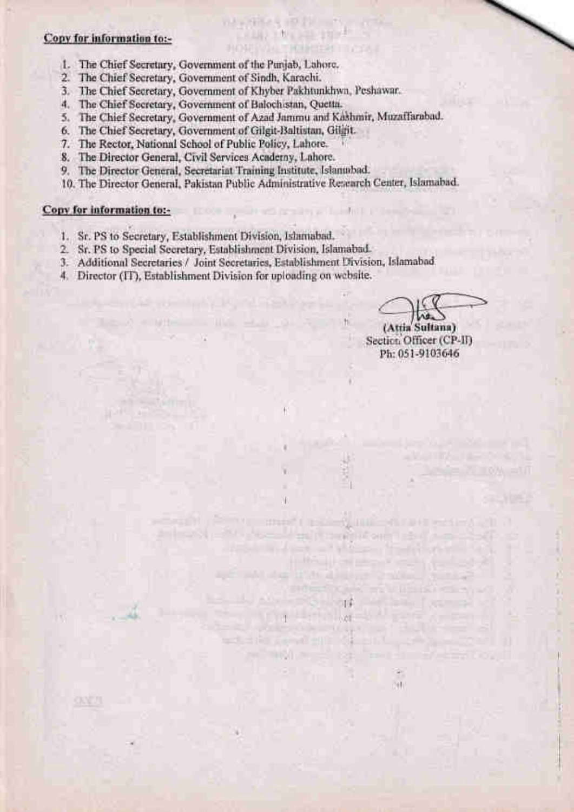#### Copv for information to:-

- 1. Chief Secretary, Government of the Punjab, Lahore. The
- 2. Chief Secretary, Govemment of Sindh, Karachi. The
- 3. The Chief Secretary, Government of Khyber Pakhtunkhwa, Peshawar
- 4. Chief Secretary, Govemment of Balochistan, Quetta. The
- 5. The Chief Secretary, Government of Azad Jammu and Kashmir, Muzaffarabad.

na chiara mata matsayanta LATHER TANK AND STREET **BOWING TRIBEDHI INCAR** 

- 6. The Chief Secretary, Government of Gilgit-Baltistan, Gilgit.
- 7. The Rector, National School of Public Policy, Lahore.
- 8. The Director General, Civil Services Academy, Lahore
- 9. Director General, Secretariat Training Institute, Islanrabad.
- 10. The Director General, Pakistan Public Administrative Research Center, Islamabad

# Conv for information to:- **, we can consider the contract of the contract of the contract of the contract of the contract of the contract of the contract of the contract of the contract of the contract of the contract of t**

**ONE**U

- 1. Sr. PS to Secretary, Establishment Division, Islamabad.
- 2. Sr. PS to Special Secretary, Establishment Division, Islamabad.
- 3. Additional Secretaries / Joint Secretaries, Establishment Division, Islamabad.
- 4. Director (IT), Establishment Division for uploading on website.

(Attia Sultana)

Section Officer (CP-II) Ph: 051-9103646

L.

m.

.

**The most resident in the most extent and** 

'il

**illustration of the company's company's company's company's company's company's company's company's company's** 

**ING CONTRACTOR** 

l, and we have a strong to

**A BUILT CONTINUES OF A STATE OF A BUILT CONTINUES.** 

. la la família de la contrata de la contra

**MARKET AND LONG COMPANY**